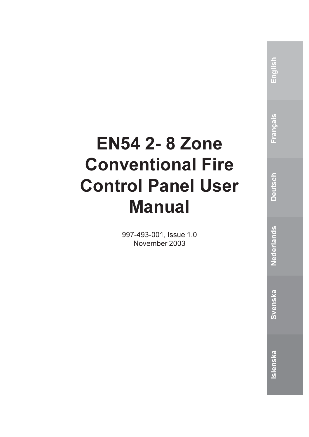# **EN54 2-8 Zone Conventional Fire Control Panel User Manual**

997-493-001, Issue 1.0 November 2003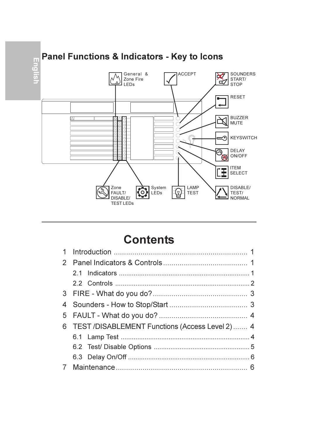

## **Contents**

| 6 | TEST/DISABLEMENT Functions (Access Level 2)  4 |  |
|---|------------------------------------------------|--|
|   |                                                |  |
|   |                                                |  |
|   |                                                |  |
|   |                                                |  |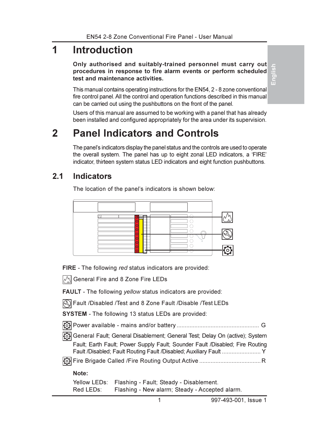#### $\overline{\mathbf{1}}$ Introduction

Only authorised and suitably-trained personnel must carry out procedures in response to fire alarm events or perform scheduled test and maintenance activities.

Æ

This manual contains operating instructions for the EN54, 2 - 8 zone conventional fire control panel. All the control and operation functions described in this manual can be carried out using the pushbuttons on the front of the panel.

Users of this manual are assumed to be working with a panel that has already been installed and configured appropriately for the area under its supervision.

#### $\overline{2}$ **Panel Indicators and Controls**

The panel's indicators display the panel status and the controls are used to operate the overall system. The panel has up to eight zonal LED indicators, a 'FIRE' indicator, thirteen system status LED indicators and eight function pushbuttons.

#### $2.1$ **Indicators**

The location of the panel's indicators is shown below:



FIRE - The following red status indicators are provided:

 $\sqrt{\frac{1}{2}}$  General Fire and 8 Zone Fire LEDs

FAULT - The following yellow status indicators are provided:

| Fault / Disabled / Test and 8 Zone Fault / Disable / Test LEDs

SYSTEM - The following 13 status LEDs are provided:

General Fault; General Disablement; General Test; Delay On (active); System Fault: Earth Fault: Power Supply Fault: Sounder Fault /Disabled: Fire Routing 

### Note:

|           | Yellow LEDs: Flashing - Fault; Steady - Disablement. |
|-----------|------------------------------------------------------|
| Red LEDs: | Flashing - New alarm; Steady - Accepted alarm.       |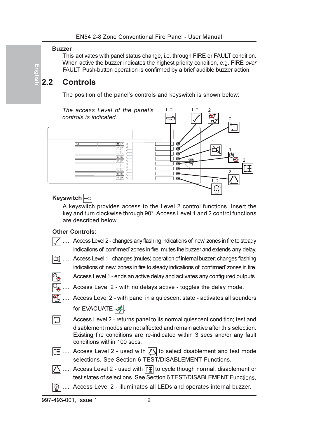#### **Buzzer**

Englis

This activates with panel status change, i.e. through FIRE or FAULT condition. When active the buzzer indicates the highest priority condition, e.g. FIRE over FAULT. Push-button operation is confirmed by a brief audible buzzer action.

#### $22$ Controls

The position of the panel's controls and keyswitch is shown below:



## Keyswitch es

A keyswitch provides access to the Level 2 control functions. Insert the key and turn clockwise through 90°. Access Level 1 and 2 control functions are described below

### **Other Controls:**

- ..... Access Level 2 changes any flashing indications of 'new' zones in fire to steady indications of 'confirmed' zones in fire, mutes the buzzer and extends any delay.
- $|\preceq|$  ..... Access Level 1 changes (mutes) operation of internal buzzer; changes flashing indications of 'new' zones in fire to steady indications of 'confirmed' zones in fire.
	- ..... Access Level 1 ends an active delay and activates any configured outputs.
	- ..... Access Level 2 with no delays active toggles the delay mode.
	- ..... Access Level 2 with panel in a quiescent state activates all sounders for EVACUATE **、**
- Access Level 2 returns panel to its normal quiescent condition; test and disablement modes are not affected and remain active after this selection. Existing fire conditions are re-indicated within 3 secs and/or any fault conditions within 100 secs.
- $\|\mathbf{F}\|$  ..... Access Level 2 used with  $\|\mathbf{F}\|$  to select disablement and test mode selections. See Section 6 TEST/DISABLEMENT Functions.
- $\sqrt{2}$  ..... Access Level 2 used with  $\boxed{1}$  to cycle though normal, disablement or test states of selections. See Section 6 TEST/DISABLEMENT Functions.
- $|\oplus$ : ..... Access Level 2 - illuminates all LEDs and operates internal buzzer.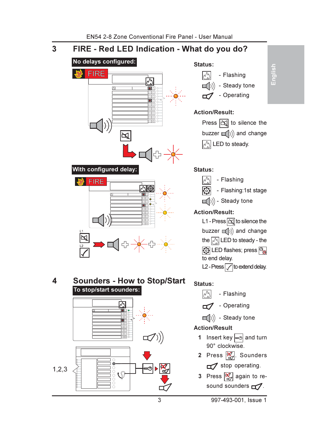#### FIRE - Red LED Indication - What do you do?  $\overline{3}$



4 **Sounders - How to Stop/Start** To stop/start sounders:







## Action/Result:



## Status: M

- Flashing
- Flashing:1st stage
- $\Box$ )) Steady tone

## **Action/Result:**

L1 - Press  $\boxed{\triangle}$  to silence the buzzer  $\Box$ ) and change the  $\sqrt{\frac{1}{N}}$  LED to steady - the **to** LED flashes; press  $\boxed{\odot}$ to end delay. L<sub>2</sub> - Press  $\sqrt{}$  to extend delay.

## Status:

 $\sqrt{N}$ - Flashing

Operating

 $\Box$ ) - Steady tone

## **Action/Result**

- 1 Insert key  $\infty$  and turn 90° clockwise.
- 2 Press  $\boxed{\mathbb{Z}}$ . Sounders stop operating.
- 3 Press <sub>2</sub> again to resound sounders  $\Box$ .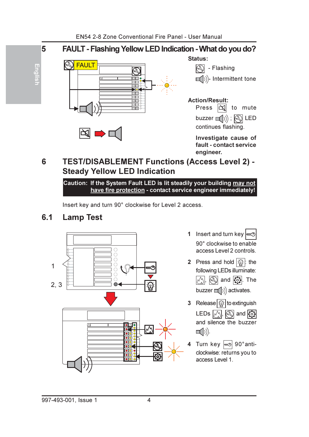

#### **TEST/DISABLEMENT Functions (Access Level 2) -**6 **Steady Yellow LED Indication**

Caution: If the System Fault LED is lit steadily your building may not have fire protection - contact service engineer immediately!

Insert key and turn 90° clockwise for Level 2 access.

#### $6.1$ **Lamp Test**



- 1 Insert and turn key 90° clockwise to enable access Level 2 controls.
- 2 Press and hold  $\mathcal{Q}:$  the following LEDs illuminate:  $\mathbb{M}$ ,  $\mathbb{Q}$  and  $\mathbb{Q}$ . The buzzer  $\Box$ )) activates.
- 3 Release  $\overline{\mathbb{Q}}$  to extinguish LEDs  $|\wedge \rangle$ ,  $|\mathbb{Q}|$  and  $|\mathbb{Q}|$ and silence the buzzer  $\Box$ ()).
- 4 Turn key  $\approx$  90° anticlockwise: returns you to access Level 1.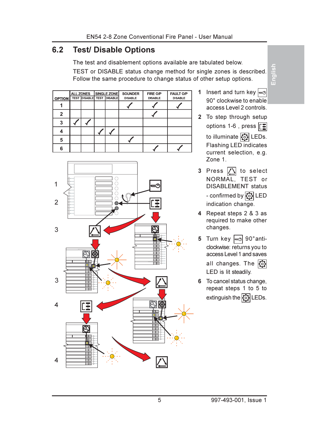#### $62$ **Test/ Disable Options**

The test and disablement options available are tabulated below.

TEST or DISABLE status change method for single zones is described. Follow the same procedure to change status of other setup options.

|               |                                  | <b>ALL ZONES</b> | <b>SINGLE ZONE</b> | <b>SOUNDER</b> | FIRE O/P       | <b>FAULT O/P</b> |
|---------------|----------------------------------|------------------|--------------------|----------------|----------------|------------------|
| <b>OPTION</b> | <b>TEST DISABLE TEST DISABLE</b> |                  |                    | <b>DISABLE</b> | <b>DISABLE</b> | <b>DISABLE</b>   |
|               |                                  |                  |                    |                |                |                  |
| 2             |                                  |                  |                    |                |                |                  |
| 3             |                                  |                  |                    |                |                |                  |
|               |                                  |                  |                    |                |                |                  |
| 5             |                                  |                  |                    |                |                |                  |
|               |                                  |                  |                    |                |                |                  |



- 1 Insert and turn key  $\approx$ 90° clockwise to enable access Level 2 controls.
- 2 To step through setup options 1-6, press  $\boxed{r}$ to illuminate [6] LEDs. Flashing LED indicates current selection, e.g.

Zone 1.

- 3 Press 1 to select NORMAL. TEST or **DISABLEMENT** status - confirmed by  $\odot$  LED indication change.
- 4 Repeat steps 2 & 3 as required to make other changes.
- 5 Turn key  $\approx$  90° anticlockwise: returns you to access Level 1 and saves all changes. The  $\overline{\odot}$ LED is lit steadily.
- 6 To cancel status change, repeat steps 1 to 5 to extinguish the **O** LEDs.

Englis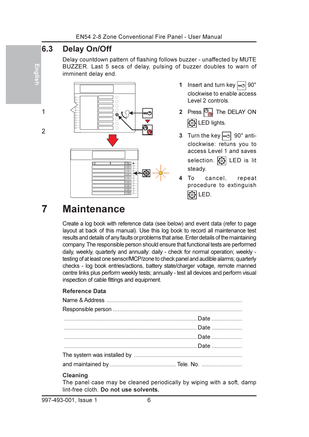#### $6.3$ **Delay On/Off**

Eng

 $\overline{1}$ 

 $\overline{2}$ 

Delay countdown pattern of flashing follows buzzer - unaffected by MUTE BUZZER. Last 5 secs of delay, pulsing of buzzer doubles to warn of imminent delay end.



- 1 Insert and turn key  $\approx$  90° clockwise to enable access Level 2 controls
- 2 Press  $\mathcal{P}_{\text{max}}$ . The DELAY ON to lights.
- 3 Turn the key  $\approx$  90° anticlockwise: retuns you to access Level 1 and saves selection. **[6]** LED is lit
- cancel repeat procedure to extinguish 商LED.

#### $\overline{7}$ **Maintenance**

Create a log book with reference data (see below) and event data (refer to page layout at back of this manual). Use this log book to record all maintenance test results and details of any faults or problems that arise. Enter details of the maintaining company. The responsible person should ensure that functional tests are performed daily, weekly, quarterly and annually: daily - check for normal operation; weekly testing of at least one sensor/MCP/zone to check panel and audible alarms; quarterly checks - log book entries/actions, battery state/charger voltage, remote manned centre links plus perform weekly tests; annually - test all devices and perform visual inspection of cable fittings and equipment.

## **Reference Data**

## Cleaning

The panel case may be cleaned periodically by wiping with a soft, damp lint-free cloth. Do not use solvents.